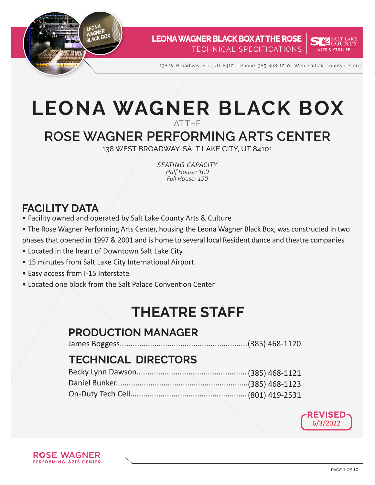



138 W. Broadway, SLC, UT 84101 | Phone: 385-468-1010 | Web: saltlakecountyarts.org

# **LEONA WAGNER BLACK BOX** AT THE

# **ROSE WAGNER PERFORMING ARTS CENTER**

138 WEST BROADWAY, SALT LAKE CITY, UT 84101

*seating capacity Half House: 100 Full House: 190*

# **FACILITY DATA**

- Facility owned and operated by Salt Lake County Arts & Culture
- The Rose Wagner Performing Arts Center, housing the Leona Wagner Black Box, was constructed in two phases that opened in 1997 & 2001 and is home to several local Resident dance and theatre companies
- Located in the heart of Downtown Salt Lake City
- 15 minutes from Salt Lake City International Airport
- Easy access from I-15 Interstate
- Located one block from the Salt Palace Convention Center

# **THEATRE STAFF**

# **PRODUCTION MANAGER**

James Boggess...........................................................(385) 468-1120

# **TECHNICAL DIRECTORS**

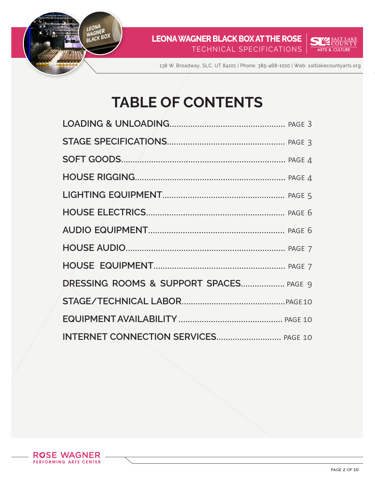



138 W. Broadway, SLC, UT 84101 | Phone: 385-468-1010 | Web: saltlakecountyarts.org

# **TABLE OF CONTENTS**

| DRESSING ROOMS & SUPPORT SPACES PAGE 9 |  |
|----------------------------------------|--|
|                                        |  |
|                                        |  |
| INTERNET CONNECTION SERVICES PAGE 10   |  |

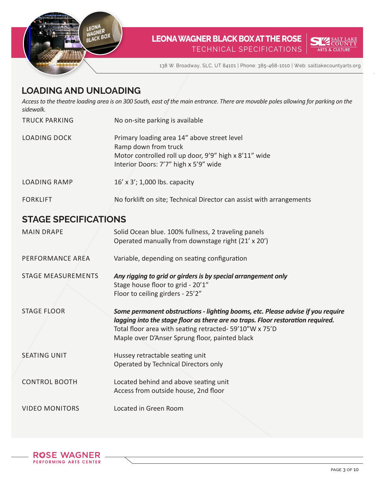



138 W. Broadway, SLC, UT 84101 | Phone: 385-468-1010 | Web: saltlakecountyarts.org

# **LOADING AND UNLOADING**

*Access to the theatre loading area is on 300 South, east of the main entrance. There are movable poles allowing for parking on the sidewalk.* 

| <b>TRUCK PARKING</b> | No on-site parking is available                                                                                                                                       |
|----------------------|-----------------------------------------------------------------------------------------------------------------------------------------------------------------------|
| <b>LOADING DOCK</b>  | Primary loading area 14" above street level<br>Ramp down from truck<br>Motor controlled roll up door, 9'9" high x 8'11" wide<br>Interior Doors: 7'7" high x 5'9" wide |
| <b>LOADING RAMP</b>  | 16' x 3'; 1,000 lbs. capacity                                                                                                                                         |
| <b>FORKLIFT</b>      | No forklift on site; Technical Director can assist with arrangements                                                                                                  |

#### **STAGE SPECIFICATIONS**

| <b>MAIN DRAPE</b>         | Solid Ocean blue. 100% fullness, 2 traveling panels<br>Operated manually from downstage right (21' x 20')                                                                                                                                                                       |
|---------------------------|---------------------------------------------------------------------------------------------------------------------------------------------------------------------------------------------------------------------------------------------------------------------------------|
| PERFORMANCE AREA          | Variable, depending on seating configuration                                                                                                                                                                                                                                    |
| <b>STAGE MEASUREMENTS</b> | Any rigging to grid or girders is by special arrangement only<br>Stage house floor to grid - 20'1"<br>Floor to ceiling girders - 25'2"                                                                                                                                          |
| <b>STAGE FLOOR</b>        | Some permanent obstructions - lighting booms, etc. Please advise if you require<br>lagging into the stage floor as there are no traps. Floor restoration required.<br>Total floor area with seating retracted- 59'10"W x 75'D<br>Maple over D'Anser Sprung floor, painted black |
| <b>SEATING UNIT</b>       | Hussey retractable seating unit<br>Operated by Technical Directors only                                                                                                                                                                                                         |
| <b>CONTROL BOOTH</b>      | Located behind and above seating unit<br>Access from outside house, 2nd floor                                                                                                                                                                                                   |
| <b>VIDEO MONITORS</b>     | Located in Green Room                                                                                                                                                                                                                                                           |

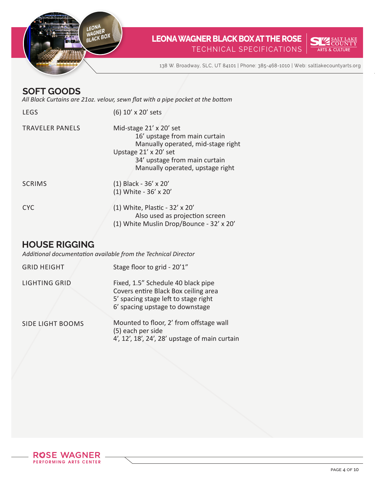



138 W. Broadway, SLC, UT 84101 | Phone: 385-468-1010 | Web: saltlakecountyarts.org

#### **SOFT GOODS**

*All Black Curtains are 21oz. velour, sewn flat with a pipe pocket at the bottom*

| <b>LEGS</b>            | (6) 10' x 20' sets                                                                                                                                                                                  |
|------------------------|-----------------------------------------------------------------------------------------------------------------------------------------------------------------------------------------------------|
| <b>TRAVELER PANELS</b> | Mid-stage $21' \times 20'$ set<br>16' upstage from main curtain<br>Manually operated, mid-stage right<br>Upstage 21' x 20' set<br>34' upstage from main curtain<br>Manually operated, upstage right |
| <b>SCRIMS</b>          | $(1)$ Black - 36' x 20'<br>(1) White - 36' x 20'                                                                                                                                                    |
| <b>CYC</b>             | $(1)$ White, Plastic - 32' x 20'<br>Also used as projection screen<br>(1) White Muslin Drop/Bounce - 32' x 20'                                                                                      |

## **HOUSE RIGGING**

*Additional documentation available from the Technical Director*

| <b>GRID HEIGHT</b>      | Stage floor to grid - 20'1"                                                                                                                           |
|-------------------------|-------------------------------------------------------------------------------------------------------------------------------------------------------|
| <b>LIGHTING GRID</b>    | Fixed, 1.5" Schedule 40 black pipe<br>Covers entire Black Box ceiling area<br>5' spacing stage left to stage right<br>6' spacing upstage to downstage |
| <b>SIDE LIGHT BOOMS</b> | Mounted to floor, 2' from offstage wall<br>(5) each per side<br>4', 12', 18', 24', 28' upstage of main curtain                                        |

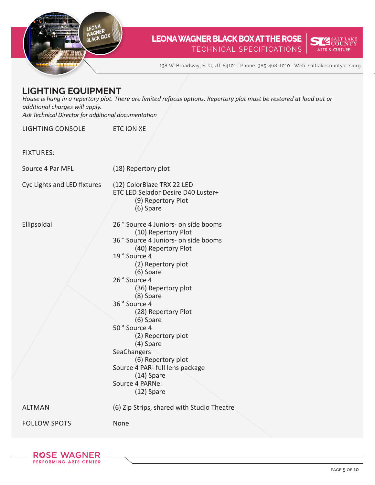



138 W. Broadway, SLC, UT 84101 | Phone: 385-468-1010 | Web: saltlakecountyarts.org

#### **LIGHTING EQUIPMENT**

*House is hung in a repertory plot. There are limited refocus options. Repertory plot must be restored at load out or additional charges will apply. Ask Technical Director for additional documentation*

LIGHTING CONSOLE ETC ION XE

FIXTURES:

Source 4 Par MFL

(18) Repertory plot

(12) ColorBlaze TRX 22 LED

ETC LED Selador Desire D40 Luster+

Cyc Lights and LED fixtures

Ellipsoidal

| (9) Repertory Plot<br>(6) Spare                              |
|--------------------------------------------------------------|
| 26 ° Source 4 Juniors- on side booms<br>(10) Repertory Plot  |
| 36 ° Source 4 Juniors- on side booms<br>(40) Repertory Plot  |
| 19° Source 4<br>(2) Repertory plot<br>(6) Spare              |
| 26° Source 4<br>(36) Repertory plot<br>(8) Spare             |
| 36° Source 4<br>(28) Repertory Plot                          |
| (6) Spare<br>50° Source 4<br>(2) Repertory plot<br>(4) Spare |
| SeaChangers<br>(6) Repertory plot                            |
| Source 4 PAR- full lens package<br>$(14)$ Spare              |
| Source 4 PARNel<br>$(12)$ Spare                              |
| (6) Zip Strips, shared with Studio Theatre                   |
|                                                              |

ALTMAN

FOLLOW SPOTS

None

**ROSE WAGNER** PERFORMING ARTS CENTER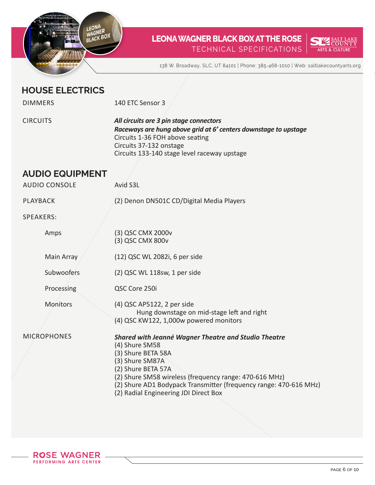



138 W. Broadway, SLC, UT 84101 | Phone: 385-468-1010 | Web: saltlakecountyarts.org

### **HOUSE ELECTRICS**

DIMMERS

140 ETC Sensor 3

**CIRCUITS** 

*All circuits are 3 pin stage connectors Raceways are hung above grid at 6' centers downstage to upstage* Circuits 1-36 FOH above seating Circuits 37-132 onstage Circuits 133-140 stage level raceway upstage

## **AUDIO EQUIPMENT**

Avid S3L

PLAYBACK

AUDIO CONSOLE

(2) Denon DN501C CD/Digital Media Players

SPEAKERS:

| Amps               | (3) QSC CMX 2000v<br>(3) QSC CMX 800v                                                                                                                                                                                                                                                                                |
|--------------------|----------------------------------------------------------------------------------------------------------------------------------------------------------------------------------------------------------------------------------------------------------------------------------------------------------------------|
| Main Array         | (12) QSC WL 2082i, 6 per side                                                                                                                                                                                                                                                                                        |
| Subwoofers         | $(2)$ QSC WL 118sw, 1 per side                                                                                                                                                                                                                                                                                       |
| Processing         | QSC Core 250i                                                                                                                                                                                                                                                                                                        |
| <b>Monitors</b>    | (4) QSC AP5122, 2 per side<br>Hung downstage on mid-stage left and right<br>(4) QSC KW122, 1,000w powered monitors                                                                                                                                                                                                   |
| <b>MICROPHONES</b> | <b>Shared with Jeanné Wagner Theatre and Studio Theatre</b><br>(4) Shure SM58<br>(3) Shure BETA 58A<br>(3) Shure SM87A<br>(2) Shure BETA 57A<br>(2) Shure SM58 wireless (frequency range: 470-616 MHz)<br>(2) Shure AD1 Bodypack Transmitter (frequency range: 470-616 MHz)<br>(2) Radial Engineering JDI Direct Box |

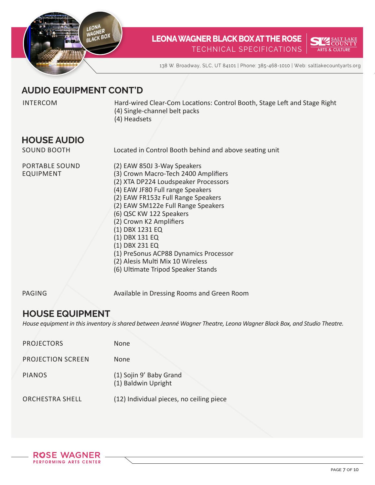



138 W. Broadway, SLC, UT 84101 | Phone: 385-468-1010 | Web: saltlakecountyarts.org

## **AUDIO EQUIPMENT CONT'D**

INTERCOM Hard-wired Clear-Com Locations: Control Booth, Stage Left and Stage Right (4) Single-channel belt packs

(4) Headsets

#### **HOUSE AUDIO**

SOUND BOOTH

Located in Control Booth behind and above seating unit

PORTABLE SOUND EQUIPMENT

(2) EAW 850J 3-Way Speakers (3) Crown Macro-Tech 2400 Amplifiers (2) XTA DP224 Loudspeaker Processors (4) EAW JF80 Full range Speakers (2) EAW FR153z Full Range Speakers (2) EAW SM122e Full Range Speakers (6) QSC KW 122 Speakers (2) Crown K2 Amplifiers (1) DBX 1231 EQ (1) DBX 131 EQ (1) DBX 231 EQ (1) PreSonus ACP88 Dynamics Processor (2) Alesis Multi Mix 10 Wireless (6) Ultimate Tripod Speaker Stands

PAGING

Available in Dressing Rooms and Green Room

#### **HOUSE EQUIPMENT**

*House equipment in this inventory is shared between Jeanné Wagner Theatre, Leona Wagner Black Box, and Studio Theatre.* 

| <b>PROJECTORS</b>        | <b>None</b>                                    |
|--------------------------|------------------------------------------------|
| <b>PROJECTION SCREEN</b> | <b>None</b>                                    |
| <b>PIANOS</b>            | (1) Sojin 9' Baby Grand<br>(1) Baldwin Upright |
| <b>ORCHESTRA SHELL</b>   | (12) Individual pieces, no ceiling piece       |

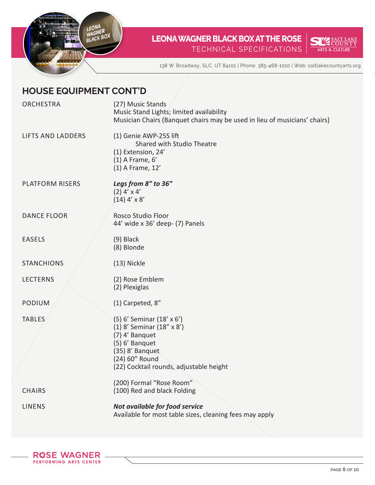



138 W. Broadway, SLC, UT 84101 | Phone: 385-468-1010 | Web: saltlakecountyarts.org

## **HOUSE EQUIPMENT CONT'D**

| <b>ORCHESTRA</b>         | (27) Music Stands<br>Music Stand Lights; limited availability                             |
|--------------------------|-------------------------------------------------------------------------------------------|
|                          | Musician Chairs (Banquet chairs may be used in lieu of musicians' chairs)                 |
| <b>LIFTS AND LADDERS</b> | (1) Genie AWP-25S lift<br>Shared with Studio Theatre                                      |
|                          | (1) Extension, 24'                                                                        |
|                          | $(1)$ A Frame, $6'$                                                                       |
|                          | (1) A Frame, 12'                                                                          |
| <b>PLATFORM RISERS</b>   | Legs from 8" to 36"                                                                       |
|                          | $(2)$ 4' x 4'<br>$(14)$ 4' x 8'                                                           |
|                          |                                                                                           |
| <b>DANCE FLOOR</b>       | Rosco Studio Floor<br>44' wide x 36' deep- (7) Panels                                     |
|                          |                                                                                           |
| <b>EASELS</b>            | $(9)$ Black<br>(8) Blonde                                                                 |
|                          |                                                                                           |
| <b>STANCHIONS</b>        | (13) Nickle                                                                               |
| <b>LECTERNS</b>          | (2) Rose Emblem                                                                           |
|                          | (2) Plexiglas                                                                             |
| <b>PODIUM</b>            | (1) Carpeted, 8"                                                                          |
| <b>TABLES</b>            | (5) 6' Seminar (18' x 6')                                                                 |
|                          | (1) 8' Seminar (18" x 8')<br>(7) 4' Banquet                                               |
|                          | (5) 6' Banquet                                                                            |
|                          | (35) 8' Banquet                                                                           |
|                          | (24) 60" Round<br>(22) Cocktail rounds, adjustable height                                 |
|                          |                                                                                           |
| <b>CHAIRS</b>            | (200) Formal "Rose Room"<br>(100) Red and black Folding                                   |
|                          |                                                                                           |
| <b>LINENS</b>            | Not available for food service<br>Available for most table sizes, cleaning fees may apply |
|                          |                                                                                           |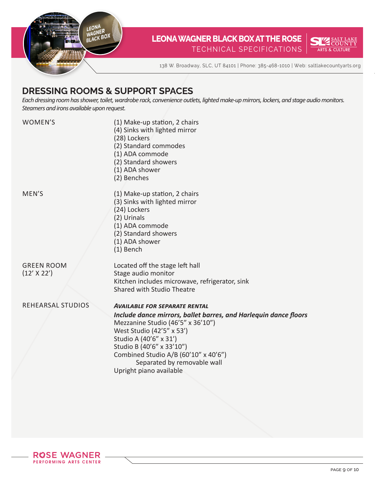



138 W. Broadway, SLC, UT 84101 | Phone: 385-468-1010 | Web: saltlakecountyarts.org

## **DRESSING ROOMS & SUPPORT SPACES**

*Each dressing room has shower, toilet, wardrobe rack, convenience outlets, lighted make-up mirrors, lockers, and stage audio monitors. Steamers and irons available upon request.*

WOMEN'S

MEN'S

(1) Make-up station, 2 chairs (4) Sinks with lighted mirror (28) Lockers (2) Standard commodes (1) ADA commode (2) Standard showers (1) ADA shower (2) Benches (1) Make-up station, 2 chairs (3) Sinks with lighted mirror (24) Lockers (2) Urinals (1) ADA commode (2) Standard showers (1) ADA shower (1) Bench Located off the stage left hall Stage audio monitor Kitchen includes microwave, refrigerator, sink Shared with Studio Theatre *Available for separate rental*

GREEN ROOM (12' X 22')

REHEARSAL STUDIOS

*Include dance mirrors, ballet barres, and Harlequin dance floors*  Mezzanine Studio (46'5" x 36'10") West Studio (42'5" x 53') Studio A (40'6" x 31') Studio B (40'6" x 33'10") Combined Studio A/B (60'10" x 40'6") Separated by removable wall Upright piano available